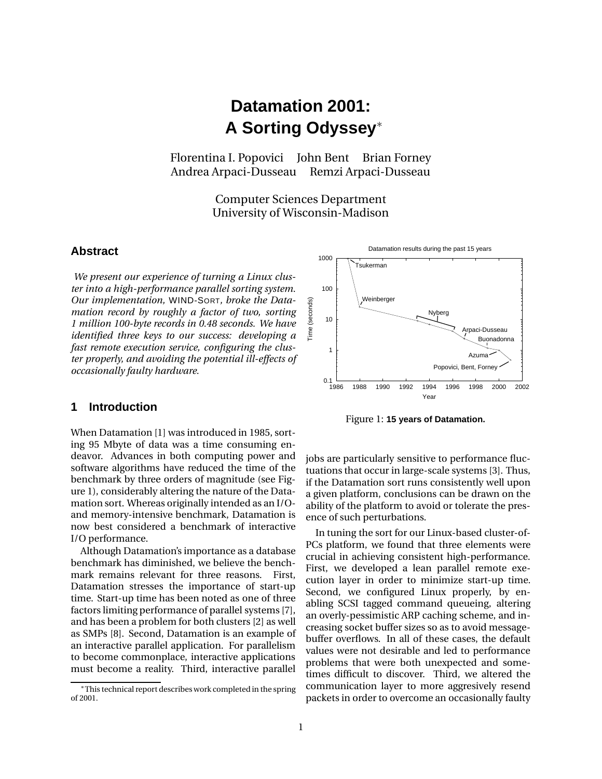# **Datamation 2001: A Sorting Odyssey** ∗

Florentina I. Popovici John Bent Brian Forney Andrea Arpaci-Dusseau Remzi Arpaci-Dusseau

> Computer Sciences Department University of Wisconsin-Madison

# **Abstract**

*We present our experience of turning a Linux cluster into a high-performance parallel sorting system. Our implementation,* WIND-SORT*, broke the Datamation record by roughly a factor of two, sorting 1 million 100-byte records in 0.48 seconds. We have identified three keys to our success: developing a fast remote execution service, configuring the cluster properly, and avoiding the potential ill-effects of occasionally faulty hardware.*

# **1 Introduction**

When Datamation [1] was introduced in 1985, sorting 95 Mbyte of data was a time consuming endeavor. Advances in both computing power and software algorithms have reduced the time of the benchmark by three orders of magnitude (see Figure 1), considerably altering the nature of the Datamation sort. Whereas originally intended as an I/Oand memory-intensive benchmark, Datamation is now best considered a benchmark of interactive I/O performance.

Although Datamation's importance as a database benchmark has diminished, we believe the benchmark remains relevant for three reasons. First, Datamation stresses the importance of start-up time. Start-up time has been noted as one of three factors limiting performance of parallel systems [7], and has been a problem for both clusters [2] as well as SMPs [8]. Second, Datamation is an example of an interactive parallel application. For parallelism to become commonplace, interactive applications must become a reality. Third, interactive parallel



Figure 1: **15 years of Datamation.**

jobs are particularly sensitive to performance fluctuations that occur in large-scale systems [3]. Thus, if the Datamation sort runs consistently well upon a given platform, conclusions can be drawn on the ability of the platform to avoid or tolerate the presence of such perturbations.

In tuning the sort for our Linux-based cluster-of-PCs platform, we found that three elements were crucial in achieving consistent high-performance. First, we developed a lean parallel remote execution layer in order to minimize start-up time. Second, we configured Linux properly, by enabling SCSI tagged command queueing, altering an overly-pessimistic ARP caching scheme, and increasing socket buffer sizes so as to avoid messagebuffer overflows. In all of these cases, the default values were not desirable and led to performance problems that were both unexpected and sometimes difficult to discover. Third, we altered the communication layer to more aggresively resend packets in order to overcome an occasionally faulty

<sup>\*</sup>This technical report describes work completed in the spring of 2001.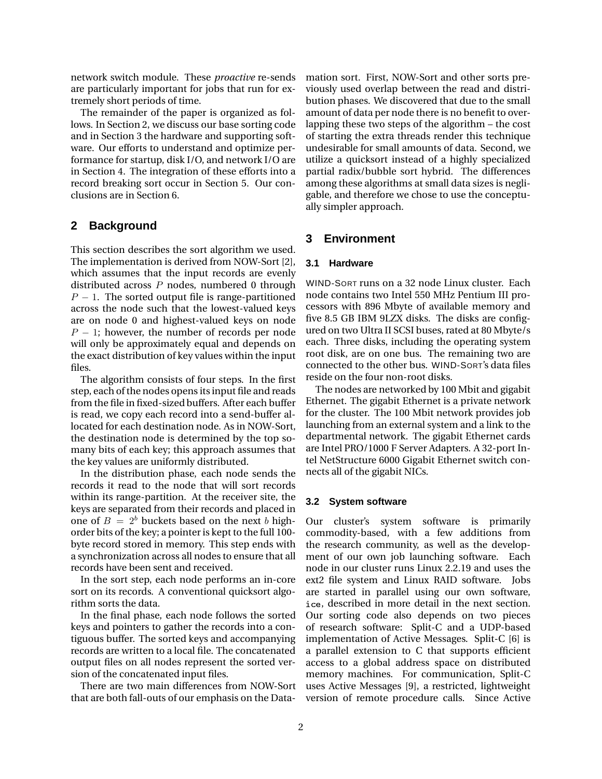network switch module. These *proactive* re-sends are particularly important for jobs that run for extremely short periods of time.

The remainder of the paper is organized as follows. In Section 2, we discuss our base sorting code and in Section 3 the hardware and supporting software. Our efforts to understand and optimize performance for startup, disk I/O, and network I/O are in Section 4. The integration of these efforts into a record breaking sort occur in Section 5. Our conclusions are in Section 6.

# **2 Background**

This section describes the sort algorithm we used. The implementation is derived from NOW-Sort [2], which assumes that the input records are evenly distributed across P nodes, numbered 0 through  $P - 1$ . The sorted output file is range-partitioned across the node such that the lowest-valued keys are on node 0 and highest-valued keys on node  $P-1$ ; however, the number of records per node will only be approximately equal and depends on the exact distribution of key values within the input files.

The algorithm consists of four steps. In the first step, each of the nodes opens its input file and reads from the file in fixed-sized buffers. After each buffer is read, we copy each record into a send-buffer allocated for each destination node. As in NOW-Sort, the destination node is determined by the top somany bits of each key; this approach assumes that the key values are uniformly distributed.

In the distribution phase, each node sends the records it read to the node that will sort records within its range-partition. At the receiver site, the keys are separated from their records and placed in one of  $B = 2^b$  buckets based on the next b highorder bits of the key; a pointer is kept to the full 100 byte record stored in memory. This step ends with a synchronization across all nodes to ensure that all records have been sent and received.

In the sort step, each node performs an in-core sort on its records. A conventional quicksort algorithm sorts the data.

In the final phase, each node follows the sorted keys and pointers to gather the records into a contiguous buffer. The sorted keys and accompanying records are written to a local file. The concatenated output files on all nodes represent the sorted version of the concatenated input files.

There are two main differences from NOW-Sort that are both fall-outs of our emphasis on the Datamation sort. First, NOW-Sort and other sorts previously used overlap between the read and distribution phases. We discovered that due to the small amount of data per node there is no benefit to overlapping these two steps of the algorithm – the cost of starting the extra threads render this technique undesirable for small amounts of data. Second, we utilize a quicksort instead of a highly specialized partial radix/bubble sort hybrid. The differences among these algorithms at small data sizes is negligable, and therefore we chose to use the conceptually simpler approach.

# **3 Environment**

#### **3.1 Hardware**

WIND-SORT runs on a 32 node Linux cluster. Each node contains two Intel 550 MHz Pentium III processors with 896 Mbyte of available memory and five 8.5 GB IBM 9LZX disks. The disks are configured on two Ultra II SCSI buses, rated at 80 Mbyte/s each. Three disks, including the operating system root disk, are on one bus. The remaining two are connected to the other bus. WIND-SORT's data files reside on the four non-root disks.

The nodes are networked by 100 Mbit and gigabit Ethernet. The gigabit Ethernet is a private network for the cluster. The 100 Mbit network provides job launching from an external system and a link to the departmental network. The gigabit Ethernet cards are Intel PRO/1000 F Server Adapters. A 32-port Intel NetStructure 6000 Gigabit Ethernet switch connects all of the gigabit NICs.

#### **3.2 System software**

Our cluster's system software is primarily commodity-based, with a few additions from the research community, as well as the development of our own job launching software. Each node in our cluster runs Linux 2.2.19 and uses the ext2 file system and Linux RAID software. Jobs are started in parallel using our own software, -, described in more detail in the next section. Our sorting code also depends on two pieces of research software: Split-C and a UDP-based implementation of Active Messages. Split-C [6] is a parallel extension to C that supports efficient access to a global address space on distributed memory machines. For communication, Split-C uses Active Messages [9], a restricted, lightweight version of remote procedure calls. Since Active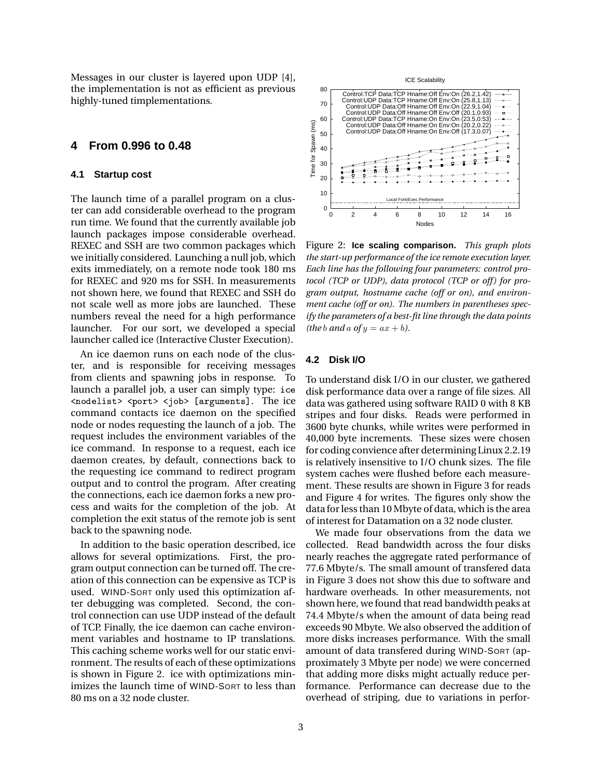Messages in our cluster is layered upon UDP [4], the implementation is not as efficient as previous highly-tuned timplementations.

## **4 From 0.996 to 0.48**

#### **4.1 Startup cost**

The launch time of a parallel program on a cluster can add considerable overhead to the program run time. We found that the currently available job launch packages impose considerable overhead. REXEC and SSH are two common packages which we initially considered. Launching a null job, which exits immediately, on a remote node took 180 ms for REXEC and 920 ms for SSH. In measurements not shown here, we found that REXEC and SSH do not scale well as more jobs are launched. These numbers reveal the need for a high performance launcher. For our sort, we developed a special launcher called ice (Interactive Cluster Execution).

An ice daemon runs on each node of the cluster, and is responsible for receiving messages from clients and spawning jobs in response. To launch a parallel job, a user can simply type: <nodelist> <port> <job> [arguments]. The ice command contacts ice daemon on the specified node or nodes requesting the launch of a job. The request includes the environment variables of the ice command. In response to a request, each ice daemon creates, by default, connections back to the requesting ice command to redirect program output and to control the program. After creating the connections, each ice daemon forks a new process and waits for the completion of the job. At completion the exit status of the remote job is sent back to the spawning node.

In addition to the basic operation described, ice allows for several optimizations. First, the program output connection can be turned off. The creation of this connection can be expensive as TCP is used. WIND-SORT only used this optimization after debugging was completed. Second, the control connection can use UDP instead of the default of TCP. Finally, the ice daemon can cache environment variables and hostname to IP translations. This caching scheme works well for our static environment. The results of each of these optimizations is shown in Figure 2. ice with optimizations minimizes the launch time of WIND-SORT to less than 80 ms on a 32 node cluster.



Figure 2: **Ice scaling comparison.** *This graph plots the start-up performance of the ice remote execution layer. Each line has the following four parameters: control protocol (TCP or UDP), data protocol (TCP or off) for program output, hostname cache (off or on), and environment cache (off or on). The numbers in parentheses specify the parameters of a best-fit line through the data points (the b and a of y =*  $ax + b$ *).* 

## **4.2 Disk I/O**

To understand disk I/O in our cluster, we gathered disk performance data over a range of file sizes. All data was gathered using software RAID 0 with 8 KB stripes and four disks. Reads were performed in 3600 byte chunks, while writes were performed in 40,000 byte increments. These sizes were chosen for coding convience after determining Linux 2.2.19 is relatively insensitive to I/O chunk sizes. The file system caches were flushed before each measurement. These results are shown in Figure 3 for reads and Figure 4 for writes. The figures only show the data for less than 10 Mbyte of data, which is the area of interest for Datamation on a 32 node cluster.

We made four observations from the data we collected. Read bandwidth across the four disks nearly reaches the aggregate rated performance of 77.6 Mbyte/s. The small amount of transfered data in Figure 3 does not show this due to software and hardware overheads. In other measurements, not shown here, we found that read bandwidth peaks at 74.4 Mbyte/s when the amount of data being read exceeds 90 Mbyte. We also observed the addition of more disks increases performance. With the small amount of data transfered during WIND-SORT (approximately 3 Mbyte per node) we were concerned that adding more disks might actually reduce performance. Performance can decrease due to the overhead of striping, due to variations in perfor-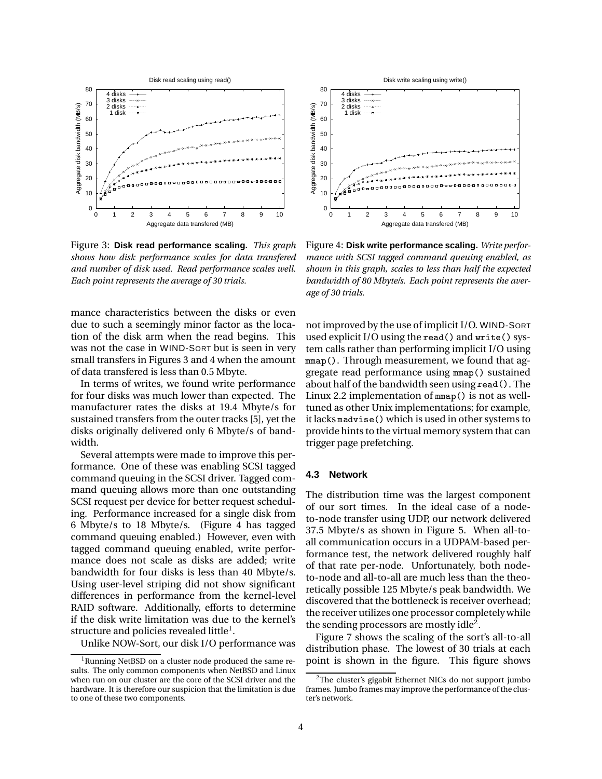

Figure 3: **Disk read performance scaling.** *This graph shows how disk performance scales for data transfered and number of disk used. Read performance scales well. Each point represents the average of 30 trials.*

mance characteristics between the disks or even due to such a seemingly minor factor as the location of the disk arm when the read begins. This was not the case in WIND-SORT but is seen in very small transfers in Figures 3 and 4 when the amount of data transfered is less than 0.5 Mbyte.

In terms of writes, we found write performance for four disks was much lower than expected. The manufacturer rates the disks at 19.4 Mbyte/s for sustained transfers from the outer tracks [5], yet the disks originally delivered only 6 Mbyte/s of bandwidth.

Several attempts were made to improve this performance. One of these was enabling SCSI tagged command queuing in the SCSI driver. Tagged command queuing allows more than one outstanding SCSI request per device for better request scheduling. Performance increased for a single disk from 6 Mbyte/s to 18 Mbyte/s. (Figure 4 has tagged command queuing enabled.) However, even with tagged command queuing enabled, write performance does not scale as disks are added; write bandwidth for four disks is less than 40 Mbyte/s. Using user-level striping did not show significant differences in performance from the kernel-level RAID software. Additionally, efforts to determine if the disk write limitation was due to the kernel's structure and policies revealed little<sup>1</sup>.

Unlike NOW-Sort, our disk I/O performance was



Figure 4: **Disk write performance scaling.** *Write performance with SCSI tagged command queuing enabled, as shown in this graph, scales to less than half the expected bandwidth of 80 Mbyte/s. Each point represents the average of 30 trials.*

not improved by the use of implicit I/O. WIND-SORT used explicit I/O using the read ( ) and write( ) system calls rather than performing implicit I/O using mmap(). Through measurement, we found that aggregate read performance using mmap() sustained about half of the bandwidth seen using read (). The Linux 2.2 implementation of  $\texttt{mmap}(\ )$  is not as welltuned as other Unix implementations; for example, it lacks madvise() which is used in other systems to provide hints to the virtual memory system that can trigger page prefetching.

#### **4.3 Network**

The distribution time was the largest component of our sort times. In the ideal case of a nodeto-node transfer using UDP, our network delivered 37.5 Mbyte/s as shown in Figure 5. When all-toall communication occurs in a UDPAM-based performance test, the network delivered roughly half of that rate per-node. Unfortunately, both nodeto-node and all-to-all are much less than the theoretically possible 125 Mbyte/s peak bandwidth. We discovered that the bottleneck is receiver overhead; the receiver utilizes one processor completely while the sending processors are mostly idle<sup>2</sup>.

Figure 7 shows the scaling of the sort's all-to-all distribution phase. The lowest of 30 trials at each point is shown in the figure. This figure shows

<sup>&</sup>lt;sup>1</sup>Running NetBSD on a cluster node produced the same results. The only common components when NetBSD and Linux when run on our cluster are the core of the SCSI driver and the hardware. It is therefore our suspicion that the limitation is due to one of these two components.

<sup>&</sup>lt;sup>2</sup>The cluster's gigabit Ethernet NICs do not support jumbo frames. Jumbo frames may improve the performance of the cluster's network.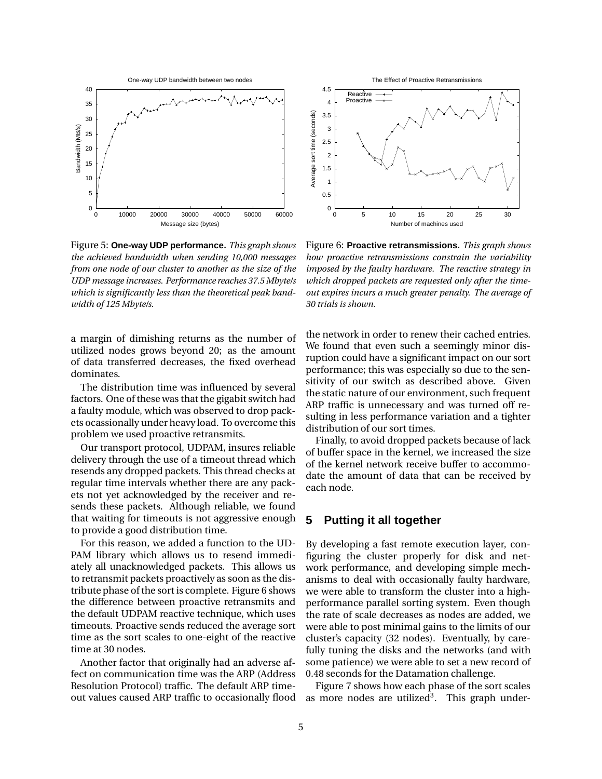

Figure 5: **One-way UDP performance.** *This graph shows the achieved bandwidth when sending 10,000 messages from one node of our cluster to another as the size of the UDP message increases. Performance reaches 37.5 Mbyte/s which is significantly less than the theoretical peak bandwidth of 125 Mbyte/s.*

a margin of dimishing returns as the number of utilized nodes grows beyond 20; as the amount of data transferred decreases, the fixed overhead dominates.

The distribution time was influenced by several factors. One of these was that the gigabit switch had a faulty module, which was observed to drop packets ocassionally under heavy load. To overcome this problem we used proactive retransmits.

Our transport protocol, UDPAM, insures reliable delivery through the use of a timeout thread which resends any dropped packets. This thread checks at regular time intervals whether there are any packets not yet acknowledged by the receiver and resends these packets. Although reliable, we found that waiting for timeouts is not aggressive enough to provide a good distribution time.

For this reason, we added a function to the UD-PAM library which allows us to resend immediately all unacknowledged packets. This allows us to retransmit packets proactively as soon as the distribute phase of the sort is complete. Figure 6 shows the difference between proactive retransmits and the default UDPAM reactive technique, which uses timeouts. Proactive sends reduced the average sort time as the sort scales to one-eight of the reactive time at 30 nodes.

Another factor that originally had an adverse affect on communication time was the ARP (Address Resolution Protocol) traffic. The default ARP timeout values caused ARP traffic to occasionally flood



Figure 6: **Proactive retransmissions.** *This graph shows how proactive retransmissions constrain the variability imposed by the faulty hardware. The reactive strategy in which dropped packets are requested only after the timeout expires incurs a much greater penalty. The average of 30 trials is shown.*

the network in order to renew their cached entries. We found that even such a seemingly minor disruption could have a significant impact on our sort performance; this was especially so due to the sensitivity of our switch as described above. Given the static nature of our environment, such frequent ARP traffic is unnecessary and was turned off resulting in less performance variation and a tighter distribution of our sort times.

Finally, to avoid dropped packets because of lack of buffer space in the kernel, we increased the size of the kernel network receive buffer to accommodate the amount of data that can be received by each node.

## **5 Putting it all together**

By developing a fast remote execution layer, configuring the cluster properly for disk and network performance, and developing simple mechanisms to deal with occasionally faulty hardware, we were able to transform the cluster into a highperformance parallel sorting system. Even though the rate of scale decreases as nodes are added, we were able to post minimal gains to the limits of our cluster's capacity (32 nodes). Eventually, by carefully tuning the disks and the networks (and with some patience) we were able to set a new record of 0.48 seconds for the Datamation challenge.

Figure 7 shows how each phase of the sort scales as more nodes are utilized<sup>3</sup>. This graph under-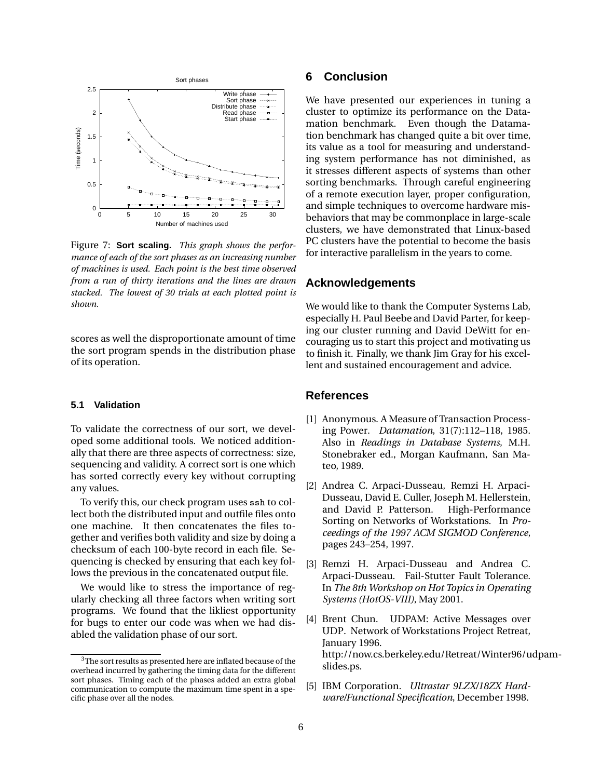

Figure 7: **Sort scaling.** *This graph shows the performance of each of the sort phases as an increasing number of machines is used. Each point is the best time observed from a run of thirty iterations and the lines are drawn stacked. The lowest of 30 trials at each plotted point is shown.*

scores as well the disproportionate amount of time the sort program spends in the distribution phase of its operation.

#### **5.1 Validation**

To validate the correctness of our sort, we developed some additional tools. We noticed additionally that there are three aspects of correctness: size, sequencing and validity. A correct sort is one which has sorted correctly every key without corrupting any values.

To verify this, our check program uses ssh to collect both the distributed input and outfile files onto one machine. It then concatenates the files together and verifies both validity and size by doing a checksum of each 100-byte record in each file. Sequencing is checked by ensuring that each key follows the previous in the concatenated output file.

We would like to stress the importance of regularly checking all three factors when writing sort programs. We found that the likliest opportunity for bugs to enter our code was when we had disabled the validation phase of our sort.

# **6 Conclusion**

We have presented our experiences in tuning a cluster to optimize its performance on the Datamation benchmark. Even though the Datamation benchmark has changed quite a bit over time, its value as a tool for measuring and understanding system performance has not diminished, as it stresses different aspects of systems than other sorting benchmarks. Through careful engineering of a remote execution layer, proper configuration, and simple techniques to overcome hardware misbehaviors that may be commonplace in large-scale clusters, we have demonstrated that Linux-based PC clusters have the potential to become the basis for interactive parallelism in the years to come.

## **Acknowledgements**

We would like to thank the Computer Systems Lab, especially H. Paul Beebe and David Parter, for keeping our cluster running and David DeWitt for encouraging us to start this project and motivating us to finish it. Finally, we thank Jim Gray for his excellent and sustained encouragement and advice.

## **References**

- [1] Anonymous. A Measure of Transaction Processing Power. *Datamation*, 31(7):112–118, 1985. Also in *Readings in Database Systems*, M.H. Stonebraker ed., Morgan Kaufmann, San Mateo, 1989.
- [2] Andrea C. Arpaci-Dusseau, Remzi H. Arpaci-Dusseau, David E. Culler, Joseph M. Hellerstein, and David P. Patterson. High-Performance Sorting on Networks of Workstations. In *Proceedings of the 1997 ACM SIGMOD Conference*, pages 243–254, 1997.
- [3] Remzi H. Arpaci-Dusseau and Andrea C. Arpaci-Dusseau. Fail-Stutter Fault Tolerance. In *The 8th Workshop on Hot Topics in Operating Systems (HotOS-VIII)*, May 2001.
- [4] Brent Chun. UDPAM: Active Messages over UDP. Network of Workstations Project Retreat, January 1996. http://now.cs.berkeley.edu/Retreat/Winter96/udpamslides.ps.
- [5] IBM Corporation. *Ultrastar 9LZX/18ZX Hardware/Functional Specification*, December 1998.

<sup>&</sup>lt;sup>3</sup>The sort results as presented here are inflated because of the overhead incurred by gathering the timing data for the different sort phases. Timing each of the phases added an extra global communication to compute the maximum time spent in a specific phase over all the nodes.